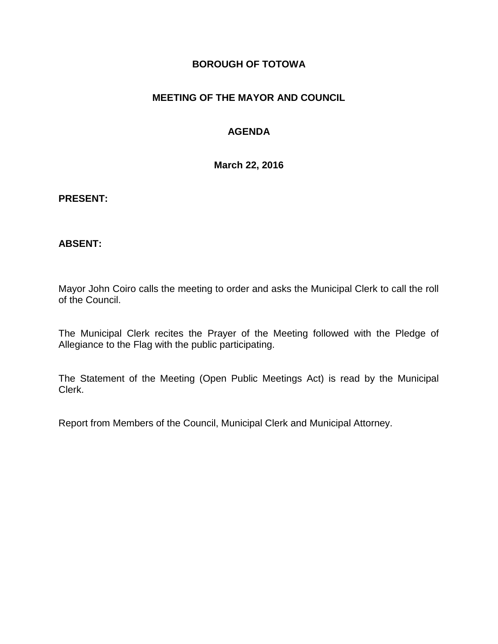## **BOROUGH OF TOTOWA**

# **MEETING OF THE MAYOR AND COUNCIL**

# **AGENDA**

**March 22, 2016**

### **PRESENT:**

## **ABSENT:**

Mayor John Coiro calls the meeting to order and asks the Municipal Clerk to call the roll of the Council.

The Municipal Clerk recites the Prayer of the Meeting followed with the Pledge of Allegiance to the Flag with the public participating.

The Statement of the Meeting (Open Public Meetings Act) is read by the Municipal Clerk.

Report from Members of the Council, Municipal Clerk and Municipal Attorney.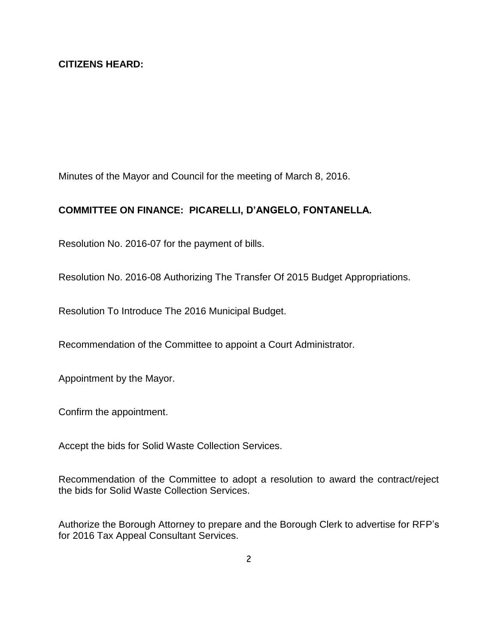Minutes of the Mayor and Council for the meeting of March 8, 2016.

## **COMMITTEE ON FINANCE: PICARELLI, D'ANGELO, FONTANELLA.**

Resolution No. 2016-07 for the payment of bills.

Resolution No. 2016-08 Authorizing The Transfer Of 2015 Budget Appropriations.

Resolution To Introduce The 2016 Municipal Budget.

Recommendation of the Committee to appoint a Court Administrator.

Appointment by the Mayor.

Confirm the appointment.

Accept the bids for Solid Waste Collection Services.

Recommendation of the Committee to adopt a resolution to award the contract/reject the bids for Solid Waste Collection Services.

Authorize the Borough Attorney to prepare and the Borough Clerk to advertise for RFP's for 2016 Tax Appeal Consultant Services.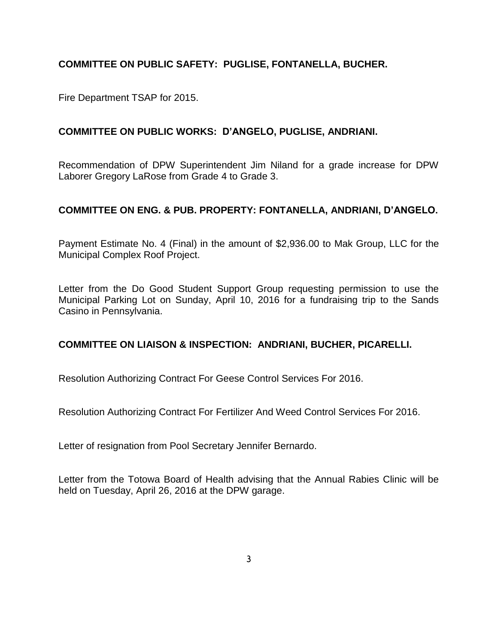# **COMMITTEE ON PUBLIC SAFETY: PUGLISE, FONTANELLA, BUCHER.**

Fire Department TSAP for 2015.

## **COMMITTEE ON PUBLIC WORKS: D'ANGELO, PUGLISE, ANDRIANI.**

Recommendation of DPW Superintendent Jim Niland for a grade increase for DPW Laborer Gregory LaRose from Grade 4 to Grade 3.

## **COMMITTEE ON ENG. & PUB. PROPERTY: FONTANELLA, ANDRIANI, D'ANGELO.**

Payment Estimate No. 4 (Final) in the amount of \$2,936.00 to Mak Group, LLC for the Municipal Complex Roof Project.

Letter from the Do Good Student Support Group requesting permission to use the Municipal Parking Lot on Sunday, April 10, 2016 for a fundraising trip to the Sands Casino in Pennsylvania.

## **COMMITTEE ON LIAISON & INSPECTION: ANDRIANI, BUCHER, PICARELLI.**

Resolution Authorizing Contract For Geese Control Services For 2016.

Resolution Authorizing Contract For Fertilizer And Weed Control Services For 2016.

Letter of resignation from Pool Secretary Jennifer Bernardo.

Letter from the Totowa Board of Health advising that the Annual Rabies Clinic will be held on Tuesday, April 26, 2016 at the DPW garage.